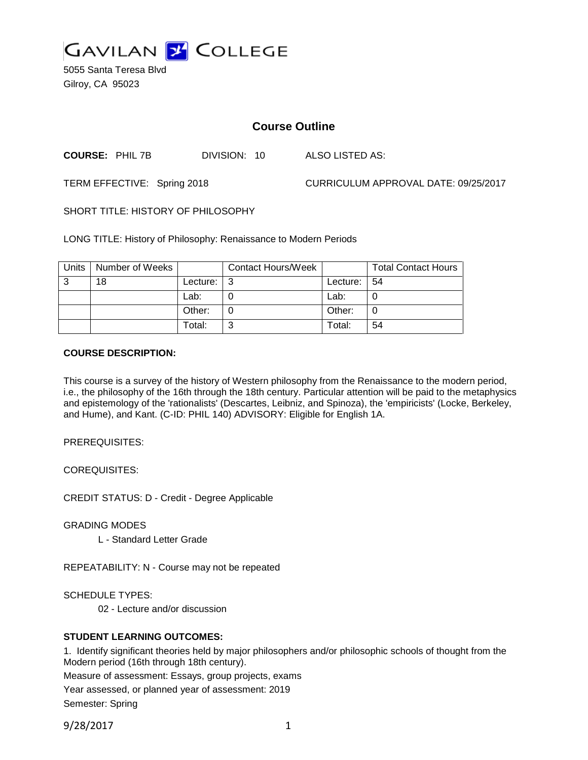

5055 Santa Teresa Blvd Gilroy, CA 95023

# **Course Outline**

**COURSE:** PHIL 7B DIVISION: 10 ALSO LISTED AS:

TERM EFFECTIVE: Spring 2018 CURRICULUM APPROVAL DATE: 09/25/2017

SHORT TITLE: HISTORY OF PHILOSOPHY

LONG TITLE: History of Philosophy: Renaissance to Modern Periods

| Units | Number of Weeks |          | <b>Contact Hours/Week</b> |          | <b>Total Contact Hours</b> |
|-------|-----------------|----------|---------------------------|----------|----------------------------|
| 3     | 18              | Lecture: | l 3                       | Lecture: | l 54                       |
|       |                 | Lab:     |                           | Lab:     |                            |
|       |                 | Other:   |                           | Other:   |                            |
|       |                 | Total:   | ⌒                         | Total:   | 54                         |

### **COURSE DESCRIPTION:**

This course is a survey of the history of Western philosophy from the Renaissance to the modern period, i.e., the philosophy of the 16th through the 18th century. Particular attention will be paid to the metaphysics and epistemology of the 'rationalists' (Descartes, Leibniz, and Spinoza), the 'empiricists' (Locke, Berkeley, and Hume), and Kant. (C-ID: PHIL 140) ADVISORY: Eligible for English 1A.

PREREQUISITES:

COREQUISITES:

CREDIT STATUS: D - Credit - Degree Applicable

GRADING MODES

L - Standard Letter Grade

REPEATABILITY: N - Course may not be repeated

SCHEDULE TYPES:

02 - Lecture and/or discussion

### **STUDENT LEARNING OUTCOMES:**

1. Identify significant theories held by major philosophers and/or philosophic schools of thought from the Modern period (16th through 18th century).

Measure of assessment: Essays, group projects, exams

Year assessed, or planned year of assessment: 2019

Semester: Spring

9/28/2017 1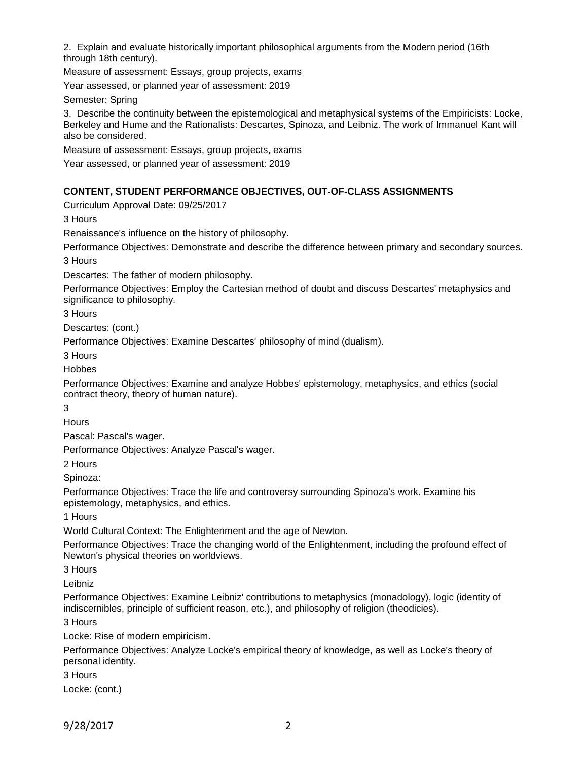2. Explain and evaluate historically important philosophical arguments from the Modern period (16th through 18th century).

Measure of assessment: Essays, group projects, exams

Year assessed, or planned year of assessment: 2019

Semester: Spring

3. Describe the continuity between the epistemological and metaphysical systems of the Empiricists: Locke, Berkeley and Hume and the Rationalists: Descartes, Spinoza, and Leibniz. The work of Immanuel Kant will also be considered.

Measure of assessment: Essays, group projects, exams

Year assessed, or planned year of assessment: 2019

### **CONTENT, STUDENT PERFORMANCE OBJECTIVES, OUT-OF-CLASS ASSIGNMENTS**

Curriculum Approval Date: 09/25/2017

3 Hours

Renaissance's influence on the history of philosophy.

Performance Objectives: Demonstrate and describe the difference between primary and secondary sources.

3 Hours

Descartes: The father of modern philosophy.

Performance Objectives: Employ the Cartesian method of doubt and discuss Descartes' metaphysics and significance to philosophy.

3 Hours

Descartes: (cont.)

Performance Objectives: Examine Descartes' philosophy of mind (dualism).

3 Hours

Hobbes

Performance Objectives: Examine and analyze Hobbes' epistemology, metaphysics, and ethics (social contract theory, theory of human nature).

3

**Hours** 

Pascal: Pascal's wager.

Performance Objectives: Analyze Pascal's wager.

2 Hours

Spinoza:

Performance Objectives: Trace the life and controversy surrounding Spinoza's work. Examine his epistemology, metaphysics, and ethics.

1 Hours

World Cultural Context: The Enlightenment and the age of Newton.

Performance Objectives: Trace the changing world of the Enlightenment, including the profound effect of Newton's physical theories on worldviews.

3 Hours

Leibniz

Performance Objectives: Examine Leibniz' contributions to metaphysics (monadology), logic (identity of indiscernibles, principle of sufficient reason, etc.), and philosophy of religion (theodicies).

3 Hours

Locke: Rise of modern empiricism.

Performance Objectives: Analyze Locke's empirical theory of knowledge, as well as Locke's theory of personal identity.

3 Hours

Locke: (cont.)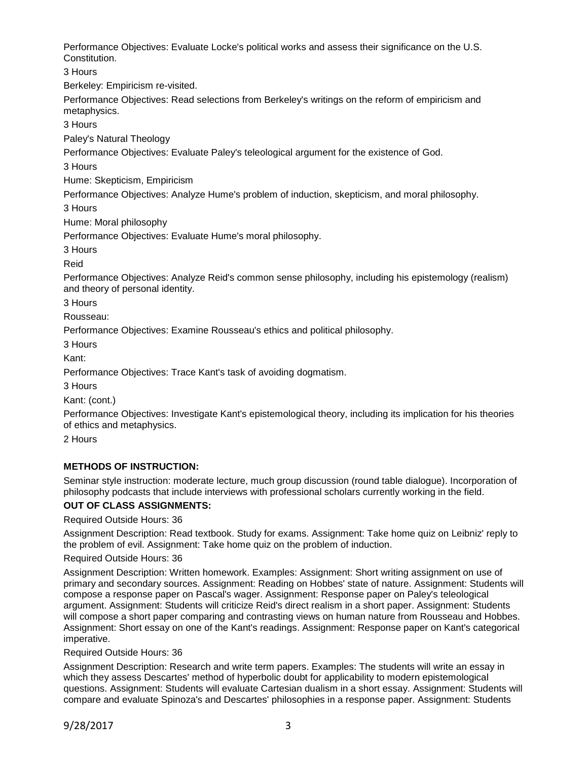Performance Objectives: Evaluate Locke's political works and assess their significance on the U.S. Constitution.

3 Hours

Berkeley: Empiricism re-visited.

Performance Objectives: Read selections from Berkeley's writings on the reform of empiricism and metaphysics.

3 Hours

Paley's Natural Theology

Performance Objectives: Evaluate Paley's teleological argument for the existence of God.

3 Hours

Hume: Skepticism, Empiricism

Performance Objectives: Analyze Hume's problem of induction, skepticism, and moral philosophy.

3 Hours

Hume: Moral philosophy

Performance Objectives: Evaluate Hume's moral philosophy.

3 Hours

Reid

Performance Objectives: Analyze Reid's common sense philosophy, including his epistemology (realism) and theory of personal identity.

3 Hours

Rousseau:

Performance Objectives: Examine Rousseau's ethics and political philosophy.

3 Hours

Kant:

Performance Objectives: Trace Kant's task of avoiding dogmatism.

3 Hours

Kant: (cont.)

Performance Objectives: Investigate Kant's epistemological theory, including its implication for his theories of ethics and metaphysics.

2 Hours

# **METHODS OF INSTRUCTION:**

Seminar style instruction: moderate lecture, much group discussion (round table dialogue). Incorporation of philosophy podcasts that include interviews with professional scholars currently working in the field.

# **OUT OF CLASS ASSIGNMENTS:**

Required Outside Hours: 36

Assignment Description: Read textbook. Study for exams. Assignment: Take home quiz on Leibniz' reply to the problem of evil. Assignment: Take home quiz on the problem of induction.

### Required Outside Hours: 36

Assignment Description: Written homework. Examples: Assignment: Short writing assignment on use of primary and secondary sources. Assignment: Reading on Hobbes' state of nature. Assignment: Students will compose a response paper on Pascal's wager. Assignment: Response paper on Paley's teleological argument. Assignment: Students will criticize Reid's direct realism in a short paper. Assignment: Students will compose a short paper comparing and contrasting views on human nature from Rousseau and Hobbes. Assignment: Short essay on one of the Kant's readings. Assignment: Response paper on Kant's categorical imperative.

Required Outside Hours: 36

Assignment Description: Research and write term papers. Examples: The students will write an essay in which they assess Descartes' method of hyperbolic doubt for applicability to modern epistemological questions. Assignment: Students will evaluate Cartesian dualism in a short essay. Assignment: Students will compare and evaluate Spinoza's and Descartes' philosophies in a response paper. Assignment: Students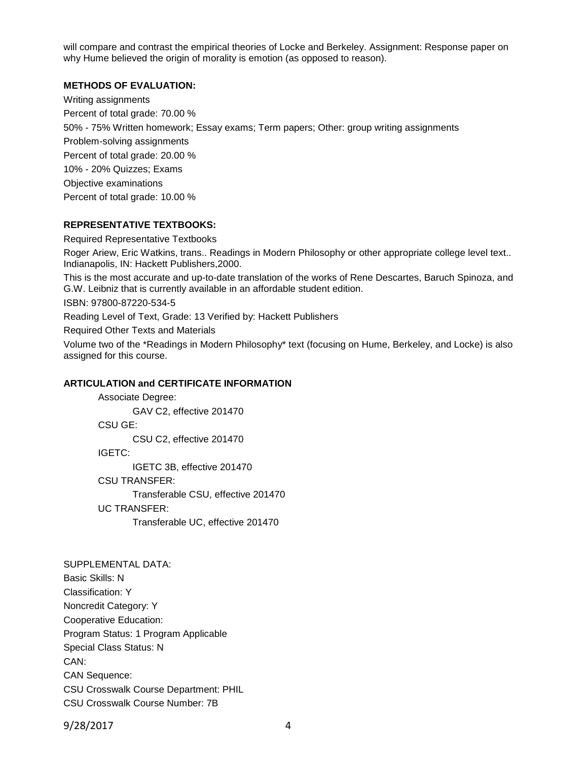will compare and contrast the empirical theories of Locke and Berkeley. Assignment: Response paper on why Hume believed the origin of morality is emotion (as opposed to reason).

#### **METHODS OF EVALUATION:**

Writing assignments Percent of total grade: 70.00 % 50% - 75% Written homework; Essay exams; Term papers; Other: group writing assignments Problem-solving assignments Percent of total grade: 20.00 % 10% - 20% Quizzes; Exams Objective examinations Percent of total grade: 10.00 %

### **REPRESENTATIVE TEXTBOOKS:**

Required Representative Textbooks

Roger Ariew, Eric Watkins, trans.. Readings in Modern Philosophy or other appropriate college level text.. Indianapolis, IN: Hackett Publishers,2000.

This is the most accurate and up-to-date translation of the works of Rene Descartes, Baruch Spinoza, and G.W. Leibniz that is currently available in an affordable student edition.

ISBN: 97800-87220-534-5

Reading Level of Text, Grade: 13 Verified by: Hackett Publishers

Required Other Texts and Materials

Volume two of the \*Readings in Modern Philosophy\* text (focusing on Hume, Berkeley, and Locke) is also assigned for this course.

#### **ARTICULATION and CERTIFICATE INFORMATION**

Associate Degree: GAV C2, effective 201470 CSU GE: CSU C2, effective 201470 IGETC: IGETC 3B, effective 201470 CSU TRANSFER: Transferable CSU, effective 201470 UC TRANSFER: Transferable UC, effective 201470

# SUPPLEMENTAL DATA:

Basic Skills: N Classification: Y Noncredit Category: Y Cooperative Education: Program Status: 1 Program Applicable Special Class Status: N CAN: CAN Sequence: CSU Crosswalk Course Department: PHIL CSU Crosswalk Course Number: 7B

9/28/2017 4